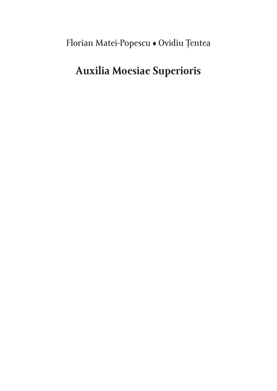Florian Matei-Popescu • Ovidiu Ţentea

### **Auxilia Moesiae Superioris**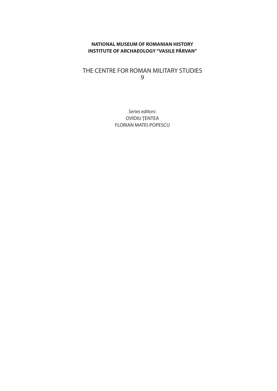### **NATIONAL MUSEUM OF ROMANIAN HISTORY INSTITUTE OF ARCHAEOLOGY "VASILE PÂRVAN"**

### THE CENTRE FOR ROMAN MILITARY STUDIES 9

*Series editors*: OVIDIU ŢENTEA FLORIAN MATEI-POPESCU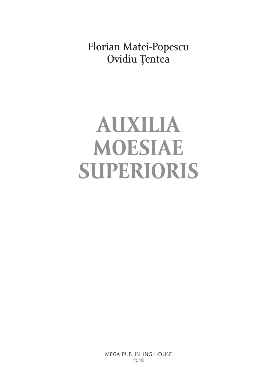Florian Matei-Popescu Ovidiu Ţentea

# **AUXILIA MOESIAE SUPERIORIS**

MEGA PUBLISHING HOUSE 2018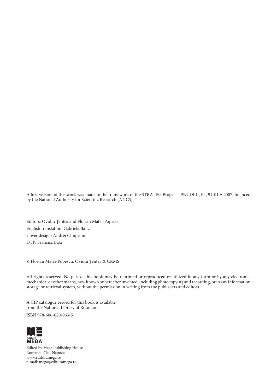A first version of this work was made in the framework of the STRATEG Project – PNCDI II, P4, 91-010/ 2007, financed by the National Authority for Scientific Research (ANCS).

Editors: Ovidiu Ţentea and Florian Matei-Popescu English translation: Gabriela Balica Cover design: Andrei Cîmpeanu DTP: Francisc Baja

© Florian Matei-Popescu, Ovidiu Ţentea & CRMS

All rights reserved. No part of this book may be reprinted or reproduced or utilized in any form or by any electronic, mechanical or other means, now known or hereafter invented, including photocopying and recording, or in any information storage or retrieval system, without the permission in writing from the publishers and editors.

A CIP catalogue record for this book is available from the National Library of Roumania

ISBN 978-606-020-063-5



Edited by Mega Publishing House Romania, Cluj-Napoca www.edituramega.ro e-mail: mega@edituramega.ro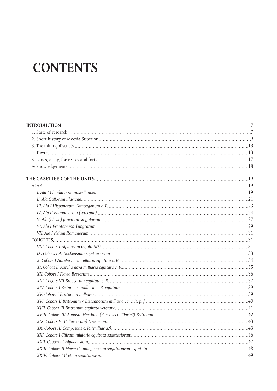# **CONTENTS**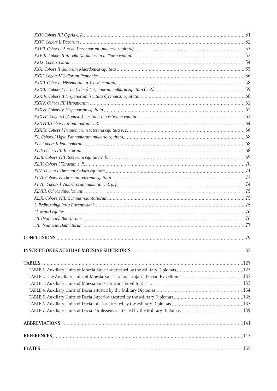| CONCLUSIONS. | .79 |
|--------------|-----|
|              |     |
|              |     |
|              |     |
|              |     |
|              |     |
|              |     |
|              |     |
|              |     |
|              |     |
|              |     |
|              |     |
|              |     |
|              |     |
|              |     |